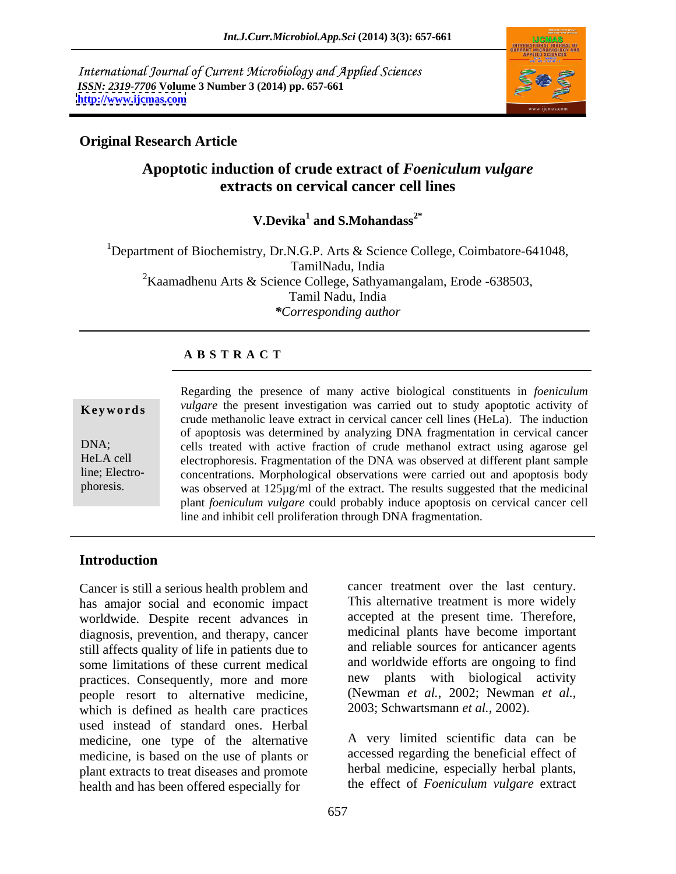International Journal of Current Microbiology and Applied Sciences *ISSN: 2319-7706* **Volume 3 Number 3 (2014) pp. 657-661 <http://www.ijcmas.com>**



# **Original Research Article**

# **Apoptotic induction of crude extract of** *Foeniculum vulgare* **extracts on cervical cancer cell lines**

**V.Devika**<sup>1</sup> and **S.Mohandass**<sup>2\*</sup>  **and S.Mohandass2\***

<sup>1</sup>Department of Biochemistry, Dr.N.G.P. Arts & Science College, Coimbatore-641048, TamilNadu, India <sup>2</sup>Kaamadhenu Arts & Science College, Sathyamangalam, Erode -638503, Tamil Nadu, India *\*Corresponding author* 

### **A B S T R A C T**

**Keywords** *vulgare* the present investigation was carried out to study apoptotic activity of DNA; cells treated with active fraction of crude methanol extract using agarose gel HeLA cell electrophoresis. Fragmentation of the DNA was observed at different plant sample line; Electro- concentrations. Morphological observations were carried out and apoptosis body phoresis. was observed at  $125\mu g/ml$  of the extract. The results suggested that the medicinal Regarding the presence of many active biological constituents in *foeniculum vulgare* the present investigation was carried out to study apoptotic activity of crude methanolic leave extract in cervical cancer cell lines (HeLa). The induction of apoptosis was determined by analyzing DNA fragmentation in cervical cancer plant *foeniculum vulgare* could probably induce apoptosis on cervical cancer cell line and inhibit cell proliferation through DNA fragmentation.

# **Introduction**

Cancer is still a serious health problem and has amajor social and economic impact worldwide. Despite recent advances in diagnosis, prevention, and therapy, cancer still affects quality of life in patients due to some limitations of these current medical practices. Consequently, more and more people resort to alternative medicine, (Newman *et al.*, 2002; Newman which is defined as health care practices 2003; Schwartsmann *et al.*, 2002). which is defined as health care practices used instead of standard ones. Herbal medicine, one type of the alternative medicine, is based on the use of plants or plant extracts to treat diseases and promote health and has been offered especially for

cancer treatment over the last century. This alternative treatment is more widely accepted at the present time. Therefore, medicinal plants have become important and reliable sources for anticancer agents and worldwide efforts are ongoing to find new plants with biological activity (Newman *et al.*, 2002; Newman *et al.*,

A very limited scientific data can be accessed regarding the beneficial effect of herbal medicine, especially herbal plants, the effect of *Foeniculum vulgare* extract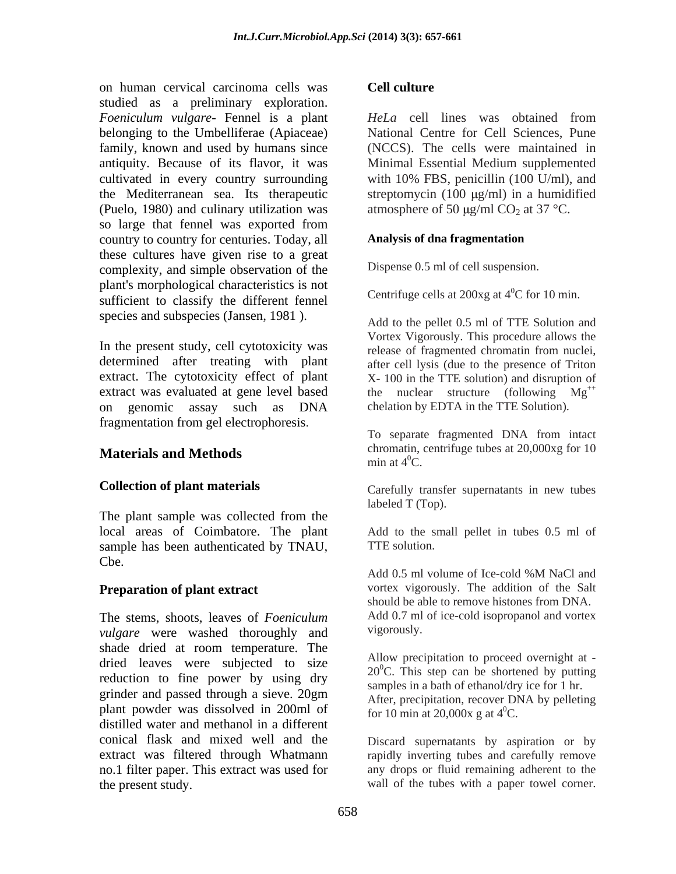on human cervical carcinoma cells was **Cell culture** studied as a preliminary exploration. *Foeniculum vulgare-* Fennel is a plant belonging to the Umbelliferae (Apiaceae) family, known and used by humans since antiquity. Because of its flavor, it was Minimal Essential Medium supplemented cultivated in every country surrounding with 10% FBS, penicillin (100 U/ml), and the Mediterranean sea. Its therapeutic streptomycin (100 µg/ml) in a humidified (Puelo, 1980) and culinary utilization was so large that fennel was exported from country to country for centuries. Today, all **Analysis of dna fragmentation** these cultures have given rise to a great complexity, and simple observation of the plant's morphological characteristics is not sufficient to classify the different fennel species and subspecies (Jansen, 1981).

In the present study, cell cytotoxicity was determined after treating with plant extract. The cytotoxicity effect of plant extract was evaluated at gene level based on genomic assay such as DNA fragmentation from gel electrophoresis.

# **Materials and Methods** controller and  $\mathbf{M}$ **example 2016** controller and  $\mathbf{M}$ **example 2016** controller and  $\mathbf{M}$ **example 2016** controller and  $\mathbf{M}$ **example 2016** controller and  $\mathbf{M}$ **example 2016** controll

The plant sample was collected from the local areas of Coimbatore. The plant sample has been authenticated by TNAU, TTE solution. Cbe.

The stems, shoots, leaves of *Foeniculum* Add 0.7 ml<br>vulgare were washed thoroughly and vigorously. *vulgare* were washed thoroughly and shade dried at room temperature. The dried leaves were subjected to size reduction to fine power by using dry grinder and passed through a sieve. 20gm plant powder was dissolved in 200ml of distilled water and methanol in a different conical flask and mixed well and the Discard supernatants by aspiration or by extract was filtered through Whatmann a rapidly inverting tubes and carefully remove no.1 filter paper. This extract was used for the present study. wall of the tubes with a paper towel corner.

### **Cell culture**

*HeLa* cell lines was obtained from National Centre for Cell Sciences, Pune (NCCS). The cells were maintained in atmosphere of 50  $\mu$ g/ml CO<sub>2</sub> at 37 °C.

### **Analysis of dna fragmentation**

Dispense 0.5 ml of cell suspension.

Centrifuge cells at  $200xg$  at  $4^0C$  for 10 min.

Add to the pellet 0.5 ml of TTE Solution and Vortex Vigorously. This procedure allows the release of fragmented chromatin from nuclei, after cell lysis (due to the presence of Triton X- 100 in the TTE solution) and disruption of the nuclear structure (following  $Mg^{++}$ chelation by EDTA in the TTE Solution).

To separate fragmented DNA from intact chromatin, centrifuge tubes at 20,000xg for 10 min at  $4^0$ C.

**Collection of plant materials** Carefully transfer supernatants in new tubes labeled T (Top).

> Add to the small pellet in tubes 0.5 ml of TTE solution.

**Preparation of plant extract** vortex vigorously. The addition of the Salt Add 0.5 ml volume of Ice-cold %M NaCl and should be able to remove histones from DNA. Add 0.7 ml of ice-cold isopropanol and vortex vigorously.

> Allow precipitation to proceed overnight at -  $20^{\circ}$ C. This step can be shortened by putting samples in a bath of ethanol/dry ice for 1 hr. After, precipitation, recover DNA by pelleting for 10 min at 20,000x g at  $4^{\circ}$ C.

> any drops or fluid remaining adherent to the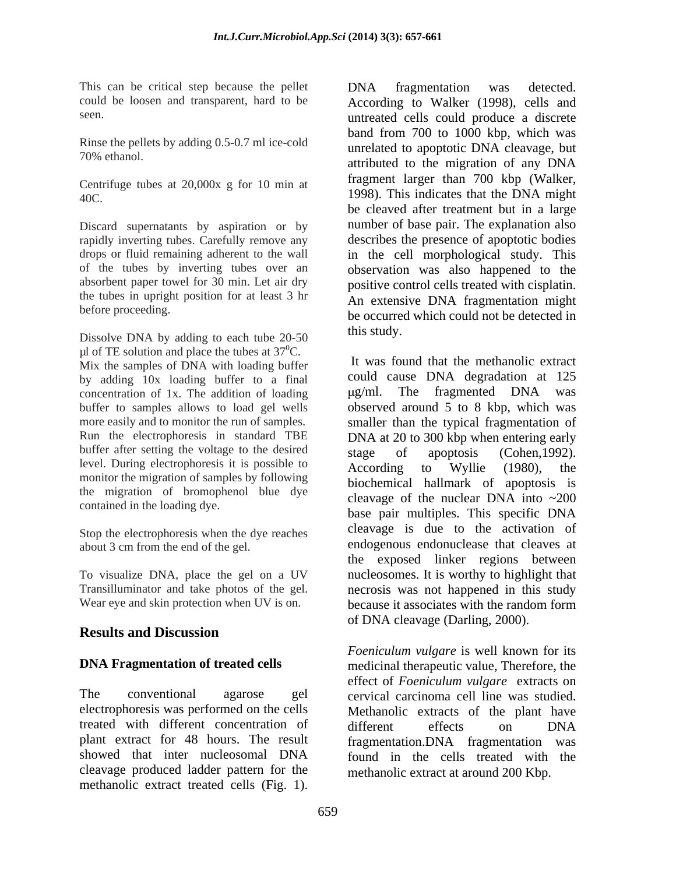This can be critical step because the pellet **DNA** fragmentation was detected.

Rinse the pellets by adding 0.5-0.7 ml ice-cold

Centrifuge tubes at 20,000x g for 10 min at

Discard supernatants by aspiration or by the tubes in upright position for at least 3 hr

Dissolve DNA by adding to each tube 20-50 this study.  $\mu$ l of TE solution and place the tubes at 37<sup>0</sup>C. Mix the samples of DNA with loading buffer by adding 10x loading buffer to a final<br>concentration of 1x. The addition of loading  $\mu$ g/ml. The fragmented DNA was concentration of 1x. The addition of loading  $\mu$ g/ml. buffer after setting the voltage to the desired stage of apoptosis (Cohen, 1992). level. During electrophoresis it is possible to <br>According to Wyllie (1980), the monitor the migration of samples by following the migration of bromophenol blue dye contained in the loading dye.

Stop the electrophoresis when the dye reaches about 3 cm from the end of the gel.

To visualize DNA, place the gel on a UV

# **Results and Discussion**

The conventional agarose gel cervical carcinoma cell line was studied. electrophoresis was performed on the cells Methanolic extracts of the plant have treated with different concentration of different effects on DNA plant extract for 48 hours. The result fragmentation.DNA fragmentation was showed that inter nucleosomal DNA found in the cells treated with the cleavage produced ladder pattern for the methanolic extract treated cells (Fig. 1).

could be loosen and transparent, hard to be According to Walker (1998), cells and seen. untreated cells could produce a discrete 70% ethanol. attributed to the migration of any DNA 40C. 1998). This indicates that the DNA might rapidly inverting tubes. Carefully remove any describes the presence of apoptotic bodies drops or fluid remaining adherent to the wall in the cell morphological study. This of the tubes by inverting tubes over an observation was also happened to the absorbent paper towel for 30 min. Let air dry positive control cells treated with cisplatin. before proceeding.<br>
be occurred which could not be detected in DNA fragmentation was detected. band from 700 to 1000 kbp, which was unrelated to apoptotic DNA cleavage, but fragment larger than 700 kbp (Walker, be cleaved after treatment but in a large number of base pair. The explanation also An extensive DNA fragmentation might this study.

buffer to samples allows to load gel wells observed around 5 to 8 kbp, which was more easily and to monitor the run of samples. smaller than the typical fragmentation of Run the electrophoresis in standard TBE DNA at 20 to 300 kbp when entering early about 3 cm from the end of the gel. endogenous endonuclease that cleaves at Transilluminator and take photos of the gel. necrosis was not happened in this study Wear eye and skin protection when UV is on. because it associates with the random form It was found that the methanolic extract could cause DNA degradation at 125 g/ml. The fragmented DNA was stage of apoptosis (Cohen,1992). According to Wyllie (1980), the biochemical hallmark of apoptosis is cleavage of the nuclear DNA into  $\sim 200$ base pair multiples. This specific DNA cleavage is due to the activation of the exposed linker regions between nucleosomes. It is worthy to highlight that of DNA cleavage (Darling, 2000).

**DNA Fragmentation of treated cells** medicinal therapeutic value, Therefore, the *Foeniculum vulgare* is well known for its effect of *Foeniculum vulgare* extracts on different effects on DNA methanolic extract at around 200 Kbp.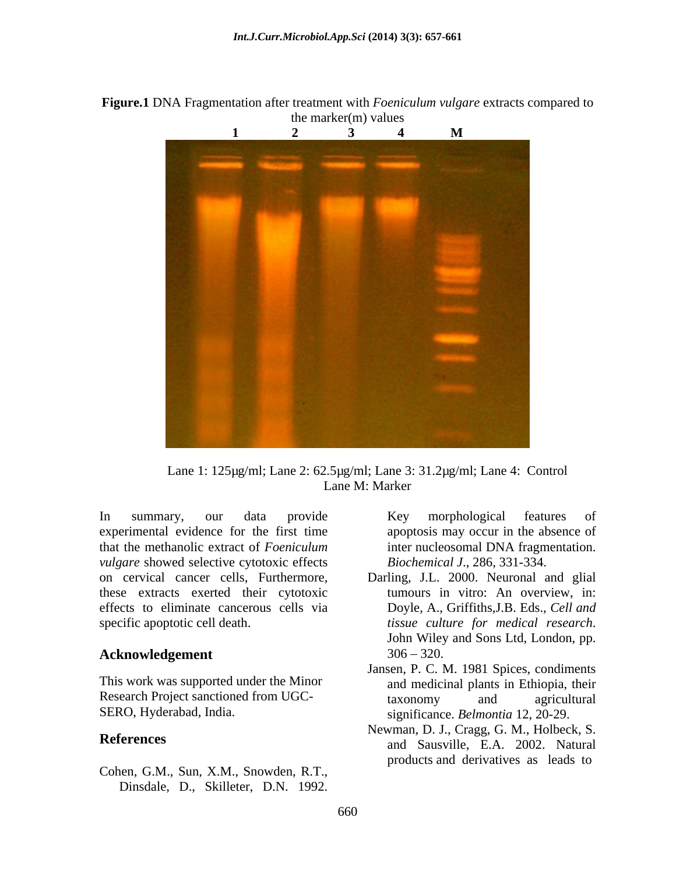**Figure.1** DNA Fragmentation after treatment with *Foeniculum vulgare* extracts compared to the marker(m) values



Lane 1: 125µg/ml; Lane 2: 62.5µg/ml; Lane 3: 31.2µg/ml; Lane 4: Control Lane M: Marker

In summary, our data provide Key morphological features of experimental evidence for the first time that the methanolic extract of *Foeniculum vulgare* showed selective cytotoxic effects these extracts exerted their cytotoxic effects to eliminate cancerous cells via specific apoptotic cell death.  $t$  issue culture for medical research. mumary, our data provide Key morphological features of<br>
eriemental evidence for the first time<br>
the methanolic extract of Foeniculum<br>
inter nucleosomal DNA fragmentation.<br> *care* showed selective cytotoxic effects<br> *Bioche* 

### **Acknowledgement** 306 – 320.

This work was supported under the Minor

Cohen, G.M., Sun, X.M., Snowden, R.T.,

apoptosis may occur in the absence of inter nucleosomal DNA fragmentation. *Biochemical J*., 286, 331-334.

- on cervical cancer cells, Furthermore, Darling, J.L. 2000. Neuronal and glial tumours in vitro: An overview, in: Doyle, A., Griffiths,J.B. Eds., *Cell and tissue culture for medical research*. John Wiley and Sons Ltd, London, pp.  $306 - 320$ .
- Research Project sanctioned from UGC-<br>taxonomy and agricultural SERO, Hyderabad, India. significance. *Belmontia* 12, 20-29. Jansen, P. C. M. 1981 Spices, condiments and medicinal plants in Ethiopia, their taxonomy and agricultural
- **References** and Sausville, E.A. 2002. Natural Newman, D. J., Cragg, G. M., Holbeck, S. products and derivatives as leads to